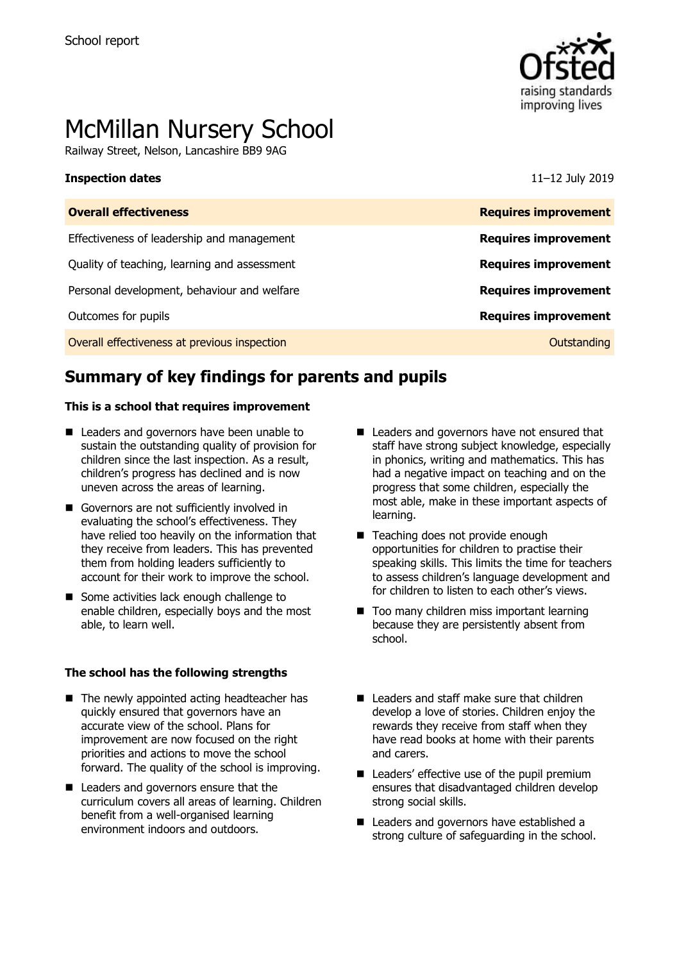

# McMillan Nursery School

Railway Street, Nelson, Lancashire BB9 9AG

### **Inspection dates** 11–12 July 2019

| <b>Requires improvement</b> |
|-----------------------------|
| <b>Requires improvement</b> |
| <b>Requires improvement</b> |
| <b>Requires improvement</b> |
| <b>Requires improvement</b> |
| Outstanding                 |
|                             |

# **Summary of key findings for parents and pupils**

### **This is a school that requires improvement**

- Leaders and governors have been unable to sustain the outstanding quality of provision for children since the last inspection. As a result, children's progress has declined and is now uneven across the areas of learning.
- Governors are not sufficiently involved in evaluating the school's effectiveness. They have relied too heavily on the information that they receive from leaders. This has prevented them from holding leaders sufficiently to account for their work to improve the school.
- Some activities lack enough challenge to enable children, especially boys and the most able, to learn well.

### **The school has the following strengths**

- $\blacksquare$  The newly appointed acting headteacher has quickly ensured that governors have an accurate view of the school. Plans for improvement are now focused on the right priorities and actions to move the school forward. The quality of the school is improving.
- Leaders and governors ensure that the curriculum covers all areas of learning. Children benefit from a well-organised learning environment indoors and outdoors.
- Leaders and governors have not ensured that staff have strong subject knowledge, especially in phonics, writing and mathematics. This has had a negative impact on teaching and on the progress that some children, especially the most able, make in these important aspects of learning.
- Teaching does not provide enough opportunities for children to practise their speaking skills. This limits the time for teachers to assess children's language development and for children to listen to each other's views.
- Too many children miss important learning because they are persistently absent from school.
- Leaders and staff make sure that children develop a love of stories. Children enjoy the rewards they receive from staff when they have read books at home with their parents and carers.
- Leaders' effective use of the pupil premium ensures that disadvantaged children develop strong social skills.
- Leaders and governors have established a strong culture of safeguarding in the school.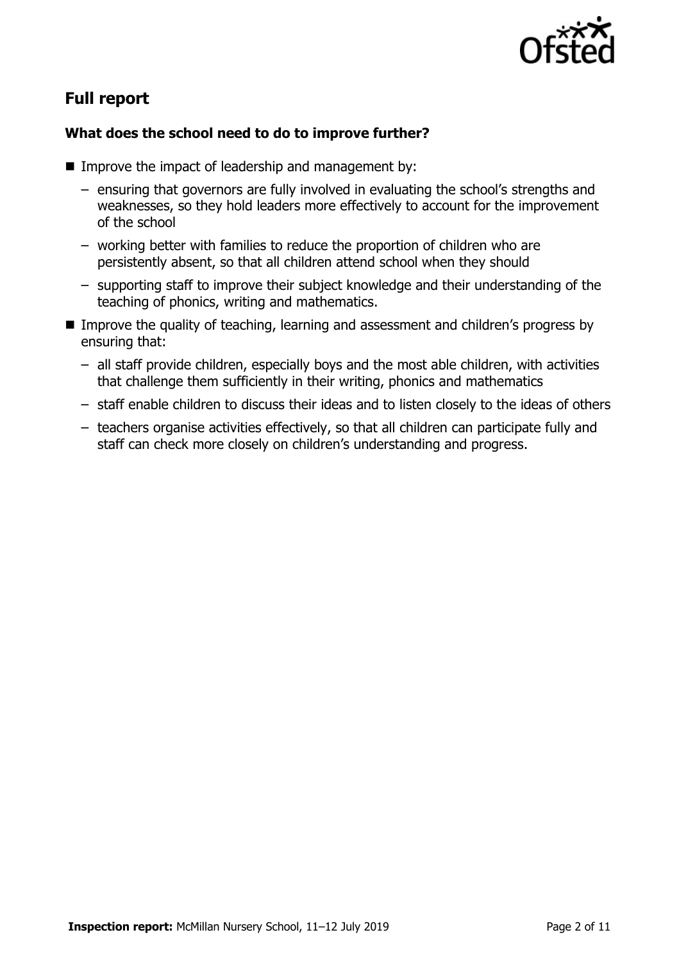

# **Full report**

### **What does the school need to do to improve further?**

- Improve the impact of leadership and management by:
	- ensuring that governors are fully involved in evaluating the school's strengths and weaknesses, so they hold leaders more effectively to account for the improvement of the school
	- working better with families to reduce the proportion of children who are persistently absent, so that all children attend school when they should
	- supporting staff to improve their subject knowledge and their understanding of the teaching of phonics, writing and mathematics.
- **IMPROVE THE QUALITY OF TEACHT AND META LEART CONSESSMENT** and children's progress by ensuring that:
	- all staff provide children, especially boys and the most able children, with activities that challenge them sufficiently in their writing, phonics and mathematics
	- staff enable children to discuss their ideas and to listen closely to the ideas of others
	- teachers organise activities effectively, so that all children can participate fully and staff can check more closely on children's understanding and progress.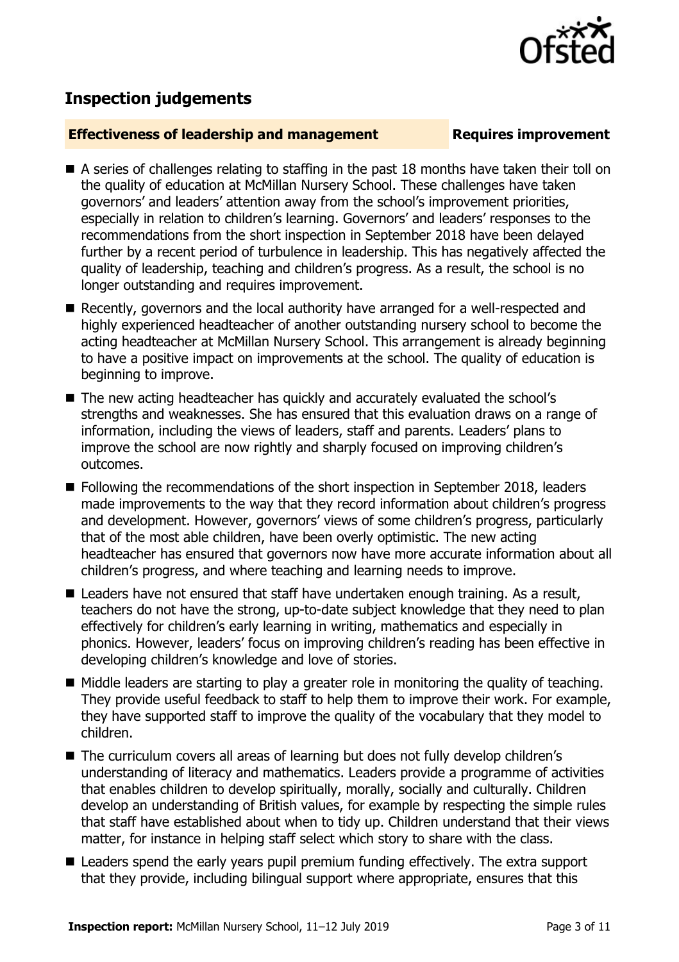## **Inspection judgements**

### **Effectiveness of leadership and management Requires improvement**

- A series of challenges relating to staffing in the past 18 months have taken their toll on the quality of education at McMillan Nursery School. These challenges have taken governors' and leaders' attention away from the school's improvement priorities, especially in relation to children's learning. Governors' and leaders' responses to the recommendations from the short inspection in September 2018 have been delayed further by a recent period of turbulence in leadership. This has negatively affected the quality of leadership, teaching and children's progress. As a result, the school is no longer outstanding and requires improvement.
- Recently, governors and the local authority have arranged for a well-respected and highly experienced headteacher of another outstanding nursery school to become the acting headteacher at McMillan Nursery School. This arrangement is already beginning to have a positive impact on improvements at the school. The quality of education is beginning to improve.
- The new acting headteacher has quickly and accurately evaluated the school's strengths and weaknesses. She has ensured that this evaluation draws on a range of information, including the views of leaders, staff and parents. Leaders' plans to improve the school are now rightly and sharply focused on improving children's outcomes.
- Following the recommendations of the short inspection in September 2018, leaders made improvements to the way that they record information about children's progress and development. However, governors' views of some children's progress, particularly that of the most able children, have been overly optimistic. The new acting headteacher has ensured that governors now have more accurate information about all children's progress, and where teaching and learning needs to improve.
- Leaders have not ensured that staff have undertaken enough training. As a result, teachers do not have the strong, up-to-date subject knowledge that they need to plan effectively for children's early learning in writing, mathematics and especially in phonics. However, leaders' focus on improving children's reading has been effective in developing children's knowledge and love of stories.
- Middle leaders are starting to play a greater role in monitoring the quality of teaching. They provide useful feedback to staff to help them to improve their work. For example, they have supported staff to improve the quality of the vocabulary that they model to children.
- The curriculum covers all areas of learning but does not fully develop children's understanding of literacy and mathematics. Leaders provide a programme of activities that enables children to develop spiritually, morally, socially and culturally. Children develop an understanding of British values, for example by respecting the simple rules that staff have established about when to tidy up. Children understand that their views matter, for instance in helping staff select which story to share with the class.
- Leaders spend the early years pupil premium funding effectively. The extra support that they provide, including bilingual support where appropriate, ensures that this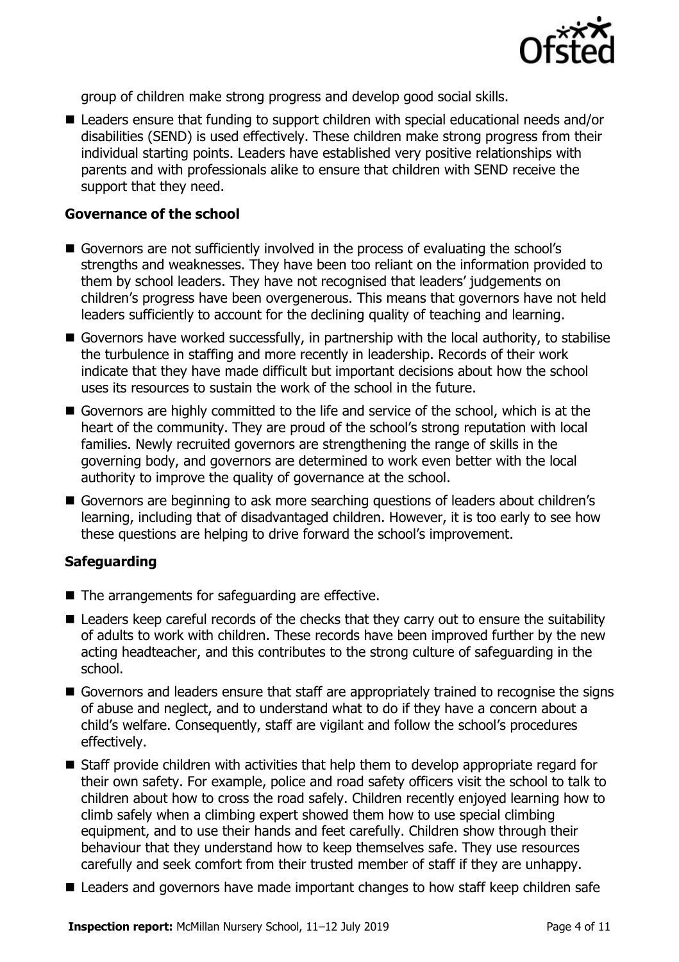

group of children make strong progress and develop good social skills.

■ Leaders ensure that funding to support children with special educational needs and/or disabilities (SEND) is used effectively. These children make strong progress from their individual starting points. Leaders have established very positive relationships with parents and with professionals alike to ensure that children with SEND receive the support that they need.

### **Governance of the school**

- Governors are not sufficiently involved in the process of evaluating the school's strengths and weaknesses. They have been too reliant on the information provided to them by school leaders. They have not recognised that leaders' judgements on children's progress have been overgenerous. This means that governors have not held leaders sufficiently to account for the declining quality of teaching and learning.
- Governors have worked successfully, in partnership with the local authority, to stabilise the turbulence in staffing and more recently in leadership. Records of their work indicate that they have made difficult but important decisions about how the school uses its resources to sustain the work of the school in the future.
- Governors are highly committed to the life and service of the school, which is at the heart of the community. They are proud of the school's strong reputation with local families. Newly recruited governors are strengthening the range of skills in the governing body, and governors are determined to work even better with the local authority to improve the quality of governance at the school.
- Governors are beginning to ask more searching questions of leaders about children's learning, including that of disadvantaged children. However, it is too early to see how these questions are helping to drive forward the school's improvement.

### **Safeguarding**

- $\blacksquare$  The arrangements for safeguarding are effective.
- Leaders keep careful records of the checks that they carry out to ensure the suitability of adults to work with children. These records have been improved further by the new acting headteacher, and this contributes to the strong culture of safeguarding in the school.
- Governors and leaders ensure that staff are appropriately trained to recognise the signs of abuse and neglect, and to understand what to do if they have a concern about a child's welfare. Consequently, staff are vigilant and follow the school's procedures effectively.
- Staff provide children with activities that help them to develop appropriate regard for their own safety. For example, police and road safety officers visit the school to talk to children about how to cross the road safely. Children recently enjoyed learning how to climb safely when a climbing expert showed them how to use special climbing equipment, and to use their hands and feet carefully. Children show through their behaviour that they understand how to keep themselves safe. They use resources carefully and seek comfort from their trusted member of staff if they are unhappy.
- Leaders and governors have made important changes to how staff keep children safe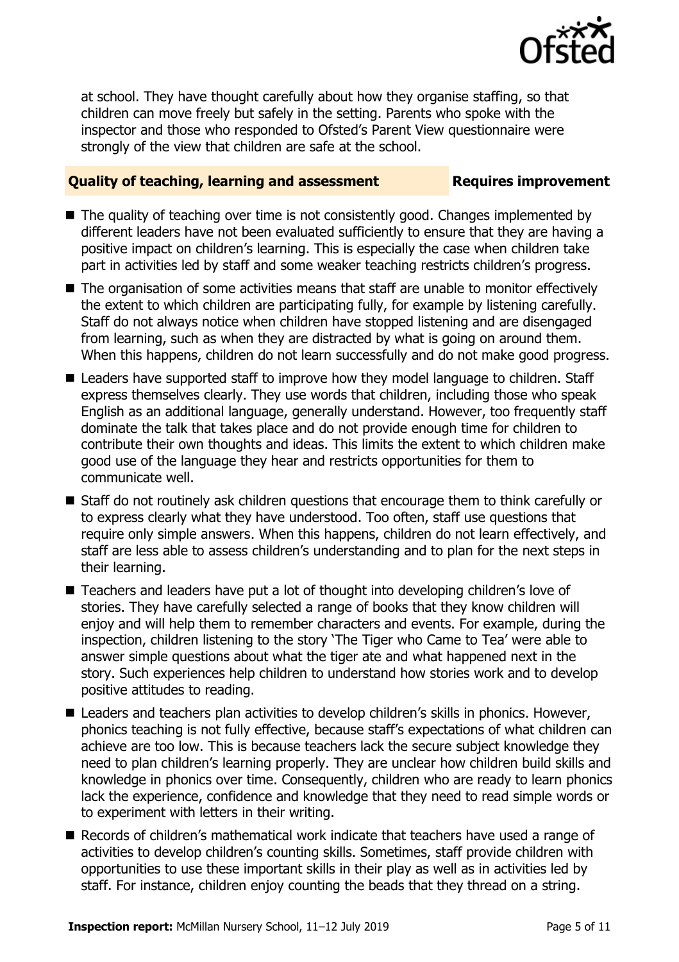

at school. They have thought carefully about how they organise staffing, so that children can move freely but safely in the setting. Parents who spoke with the inspector and those who responded to Ofsted's Parent View questionnaire were strongly of the view that children are safe at the school.

### **Quality of teaching, learning and assessment Requires improvement**

- The quality of teaching over time is not consistently good. Changes implemented by different leaders have not been evaluated sufficiently to ensure that they are having a positive impact on children's learning. This is especially the case when children take part in activities led by staff and some weaker teaching restricts children's progress.
- The organisation of some activities means that staff are unable to monitor effectively the extent to which children are participating fully, for example by listening carefully. Staff do not always notice when children have stopped listening and are disengaged from learning, such as when they are distracted by what is going on around them. When this happens, children do not learn successfully and do not make good progress.
- Leaders have supported staff to improve how they model language to children. Staff express themselves clearly. They use words that children, including those who speak English as an additional language, generally understand. However, too frequently staff dominate the talk that takes place and do not provide enough time for children to contribute their own thoughts and ideas. This limits the extent to which children make good use of the language they hear and restricts opportunities for them to communicate well.
- Staff do not routinely ask children questions that encourage them to think carefully or to express clearly what they have understood. Too often, staff use questions that require only simple answers. When this happens, children do not learn effectively, and staff are less able to assess children's understanding and to plan for the next steps in their learning.
- Teachers and leaders have put a lot of thought into developing children's love of stories. They have carefully selected a range of books that they know children will enjoy and will help them to remember characters and events. For example, during the inspection, children listening to the story 'The Tiger who Came to Tea' were able to answer simple questions about what the tiger ate and what happened next in the story. Such experiences help children to understand how stories work and to develop positive attitudes to reading.
- Leaders and teachers plan activities to develop children's skills in phonics. However, phonics teaching is not fully effective, because staff's expectations of what children can achieve are too low. This is because teachers lack the secure subject knowledge they need to plan children's learning properly. They are unclear how children build skills and knowledge in phonics over time. Consequently, children who are ready to learn phonics lack the experience, confidence and knowledge that they need to read simple words or to experiment with letters in their writing.
- Records of children's mathematical work indicate that teachers have used a range of activities to develop children's counting skills. Sometimes, staff provide children with opportunities to use these important skills in their play as well as in activities led by staff. For instance, children enjoy counting the beads that they thread on a string.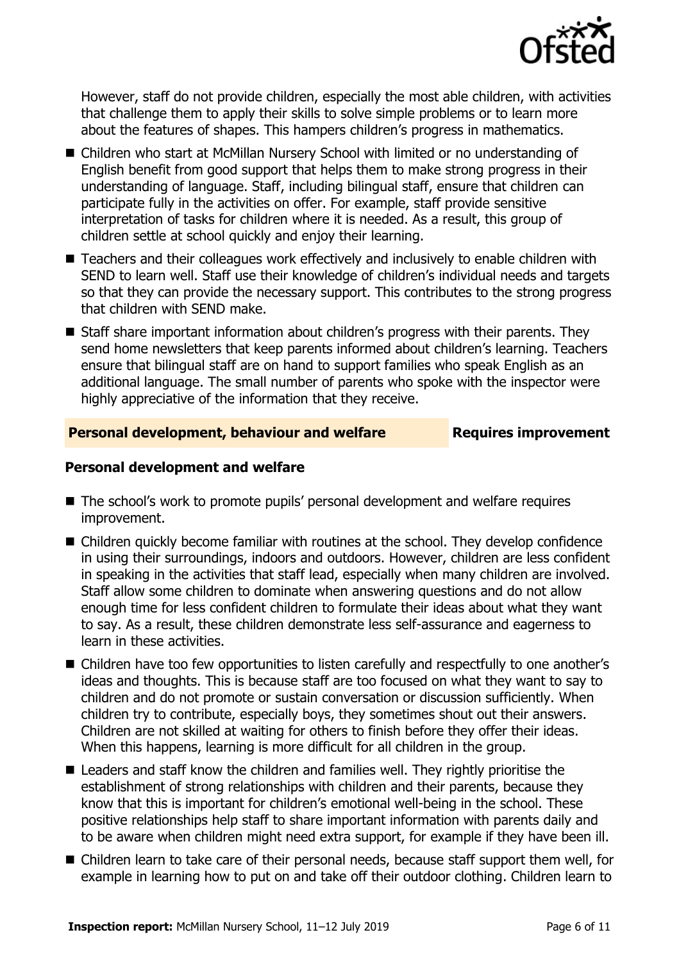

However, staff do not provide children, especially the most able children, with activities that challenge them to apply their skills to solve simple problems or to learn more about the features of shapes. This hampers children's progress in mathematics.

- Children who start at McMillan Nursery School with limited or no understanding of English benefit from good support that helps them to make strong progress in their understanding of language. Staff, including bilingual staff, ensure that children can participate fully in the activities on offer. For example, staff provide sensitive interpretation of tasks for children where it is needed. As a result, this group of children settle at school quickly and enjoy their learning.
- Teachers and their colleagues work effectively and inclusively to enable children with SEND to learn well. Staff use their knowledge of children's individual needs and targets so that they can provide the necessary support. This contributes to the strong progress that children with SEND make.
- Staff share important information about children's progress with their parents. They send home newsletters that keep parents informed about children's learning. Teachers ensure that bilingual staff are on hand to support families who speak English as an additional language. The small number of parents who spoke with the inspector were highly appreciative of the information that they receive.

### **Personal development, behaviour and welfare <b>Requires improvement**

### **Personal development and welfare**

- The school's work to promote pupils' personal development and welfare requires improvement.
- Children quickly become familiar with routines at the school. They develop confidence in using their surroundings, indoors and outdoors. However, children are less confident in speaking in the activities that staff lead, especially when many children are involved. Staff allow some children to dominate when answering questions and do not allow enough time for less confident children to formulate their ideas about what they want to say. As a result, these children demonstrate less self-assurance and eagerness to learn in these activities.
- Children have too few opportunities to listen carefully and respectfully to one another's ideas and thoughts. This is because staff are too focused on what they want to say to children and do not promote or sustain conversation or discussion sufficiently. When children try to contribute, especially boys, they sometimes shout out their answers. Children are not skilled at waiting for others to finish before they offer their ideas. When this happens, learning is more difficult for all children in the group.
- Leaders and staff know the children and families well. They rightly prioritise the establishment of strong relationships with children and their parents, because they know that this is important for children's emotional well-being in the school. These positive relationships help staff to share important information with parents daily and to be aware when children might need extra support, for example if they have been ill.
- Children learn to take care of their personal needs, because staff support them well, for example in learning how to put on and take off their outdoor clothing. Children learn to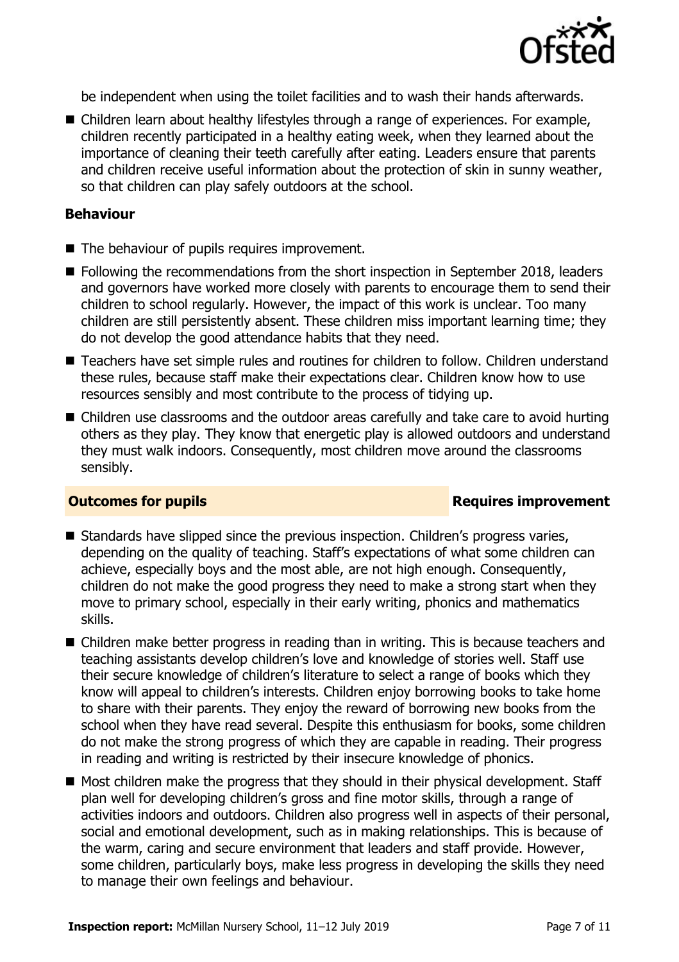

be independent when using the toilet facilities and to wash their hands afterwards.

■ Children learn about healthy lifestyles through a range of experiences. For example, children recently participated in a healthy eating week, when they learned about the importance of cleaning their teeth carefully after eating. Leaders ensure that parents and children receive useful information about the protection of skin in sunny weather, so that children can play safely outdoors at the school.

### **Behaviour**

- The behaviour of pupils requires improvement.
- Following the recommendations from the short inspection in September 2018, leaders and governors have worked more closely with parents to encourage them to send their children to school regularly. However, the impact of this work is unclear. Too many children are still persistently absent. These children miss important learning time; they do not develop the good attendance habits that they need.
- Teachers have set simple rules and routines for children to follow. Children understand these rules, because staff make their expectations clear. Children know how to use resources sensibly and most contribute to the process of tidying up.
- Children use classrooms and the outdoor areas carefully and take care to avoid hurting others as they play. They know that energetic play is allowed outdoors and understand they must walk indoors. Consequently, most children move around the classrooms sensibly.

### **Outcomes for pupils Requires improvement**

- Standards have slipped since the previous inspection. Children's progress varies, depending on the quality of teaching. Staff's expectations of what some children can achieve, especially boys and the most able, are not high enough. Consequently, children do not make the good progress they need to make a strong start when they move to primary school, especially in their early writing, phonics and mathematics skills.
- Children make better progress in reading than in writing. This is because teachers and teaching assistants develop children's love and knowledge of stories well. Staff use their secure knowledge of children's literature to select a range of books which they know will appeal to children's interests. Children enjoy borrowing books to take home to share with their parents. They enjoy the reward of borrowing new books from the school when they have read several. Despite this enthusiasm for books, some children do not make the strong progress of which they are capable in reading. Their progress in reading and writing is restricted by their insecure knowledge of phonics.
- $\blacksquare$  Most children make the progress that they should in their physical development. Staff plan well for developing children's gross and fine motor skills, through a range of activities indoors and outdoors. Children also progress well in aspects of their personal, social and emotional development, such as in making relationships. This is because of the warm, caring and secure environment that leaders and staff provide. However, some children, particularly boys, make less progress in developing the skills they need to manage their own feelings and behaviour.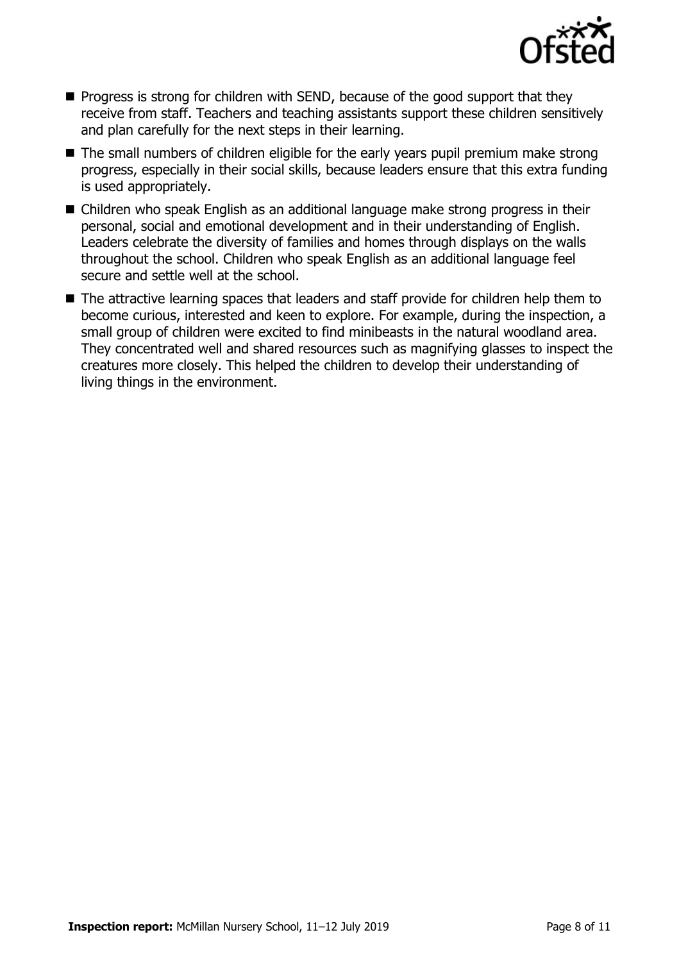

- $\blacksquare$  Progress is strong for children with SEND, because of the good support that they receive from staff. Teachers and teaching assistants support these children sensitively and plan carefully for the next steps in their learning.
- The small numbers of children eligible for the early years pupil premium make strong progress, especially in their social skills, because leaders ensure that this extra funding is used appropriately.
- Children who speak English as an additional language make strong progress in their personal, social and emotional development and in their understanding of English. Leaders celebrate the diversity of families and homes through displays on the walls throughout the school. Children who speak English as an additional language feel secure and settle well at the school.
- The attractive learning spaces that leaders and staff provide for children help them to become curious, interested and keen to explore. For example, during the inspection, a small group of children were excited to find minibeasts in the natural woodland area. They concentrated well and shared resources such as magnifying glasses to inspect the creatures more closely. This helped the children to develop their understanding of living things in the environment.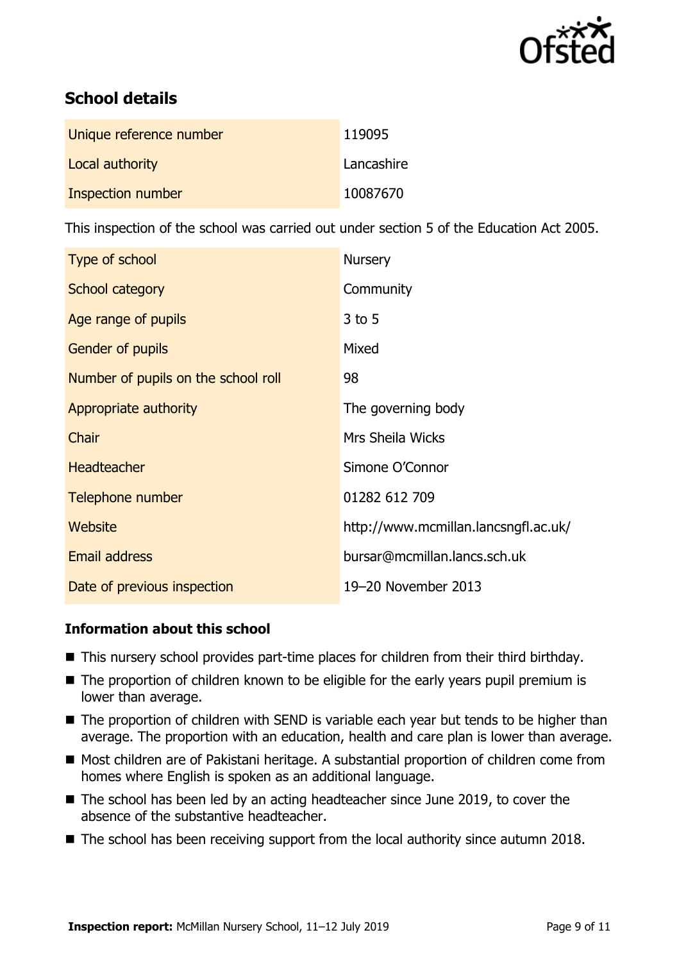

# **School details**

| Unique reference number | 119095     |
|-------------------------|------------|
| Local authority         | Lancashire |
| Inspection number       | 10087670   |

This inspection of the school was carried out under section 5 of the Education Act 2005.

| Type of school                      | <b>Nursery</b>                       |
|-------------------------------------|--------------------------------------|
| School category                     | Community                            |
| Age range of pupils                 | $3$ to 5                             |
| <b>Gender of pupils</b>             | Mixed                                |
| Number of pupils on the school roll | 98                                   |
| Appropriate authority               | The governing body                   |
| Chair                               | Mrs Sheila Wicks                     |
| <b>Headteacher</b>                  | Simone O'Connor                      |
| Telephone number                    | 01282 612 709                        |
| <b>Website</b>                      | http://www.mcmillan.lancsngfl.ac.uk/ |
| <b>Email address</b>                | bursar@mcmillan.lancs.sch.uk         |
| Date of previous inspection         | 19-20 November 2013                  |

### **Information about this school**

- This nursery school provides part-time places for children from their third birthday.
- The proportion of children known to be eligible for the early years pupil premium is lower than average.
- The proportion of children with SEND is variable each year but tends to be higher than average. The proportion with an education, health and care plan is lower than average.
- Most children are of Pakistani heritage. A substantial proportion of children come from homes where English is spoken as an additional language.
- The school has been led by an acting headteacher since June 2019, to cover the absence of the substantive headteacher.
- The school has been receiving support from the local authority since autumn 2018.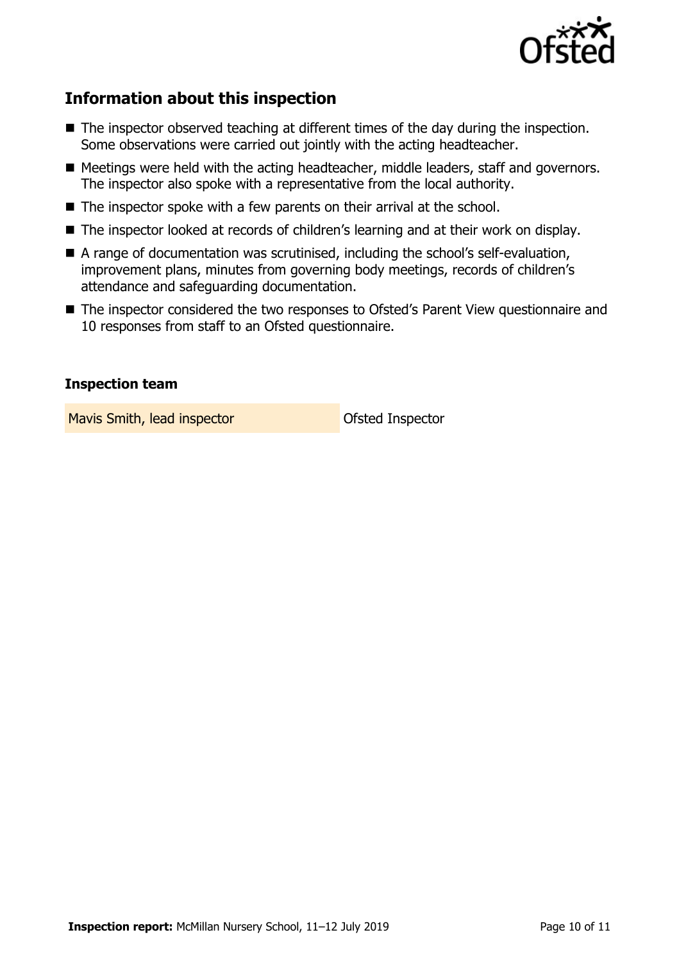

# **Information about this inspection**

- The inspector observed teaching at different times of the day during the inspection. Some observations were carried out jointly with the acting headteacher.
- Meetings were held with the acting headteacher, middle leaders, staff and governors. The inspector also spoke with a representative from the local authority.
- The inspector spoke with a few parents on their arrival at the school.
- The inspector looked at records of children's learning and at their work on display.
- A range of documentation was scrutinised, including the school's self-evaluation, improvement plans, minutes from governing body meetings, records of children's attendance and safeguarding documentation.
- The inspector considered the two responses to Ofsted's Parent View questionnaire and 10 responses from staff to an Ofsted questionnaire.

### **Inspection team**

Mavis Smith, lead inspector **Constanting Constanting Constanting Maria Smith, lead inspector**